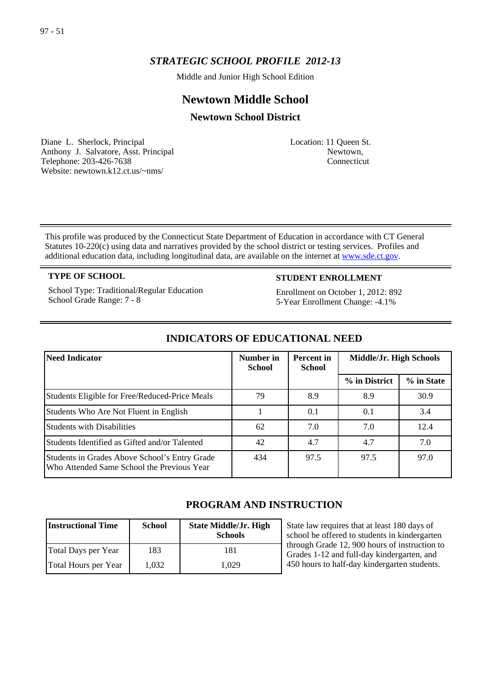# *STRATEGIC SCHOOL PROFILE 2012-13*

Middle and Junior High School Edition

# **Newtown Middle School**

### **Newtown School District**

Diane L. Sherlock, Principal Anthony J. Salvatore, Asst. Principal Telephone: 203-426-7638 Website: newtown.k12.ct.us/~nms/

Location: 11 Queen St. Newtown, Connecticut

This profile was produced by the Connecticut State Department of Education in accordance with CT General Statutes 10-220(c) using data and narratives provided by the school district or testing services. Profiles and additional education data, including longitudinal data, are available on the internet at [www.sde.ct.gov.](http://www.sde.ct.gov/)

School Type: Traditional/Regular Education School Grade Range: 7 - 8

#### **TYPE OF SCHOOL STUDENT ENROLLMENT**

Enrollment on October 1, 2012: 892 5-Year Enrollment Change: -4.1%

| Need Indicator                                                                              | Number in<br><b>School</b> | Percent in<br><b>School</b> | Middle/Jr. High Schools |            |
|---------------------------------------------------------------------------------------------|----------------------------|-----------------------------|-------------------------|------------|
|                                                                                             |                            |                             | % in District           | % in State |
| Students Eligible for Free/Reduced-Price Meals                                              | 79                         | 8.9                         | 8.9                     | 30.9       |
| Students Who Are Not Fluent in English                                                      |                            | 0.1                         | 0.1                     | 3.4        |
| <b>Students with Disabilities</b>                                                           | 62                         | 7.0                         | 7.0                     | 12.4       |
| Students Identified as Gifted and/or Talented                                               | 42                         | 4.7                         | 4.7                     | 7.0        |
| Students in Grades Above School's Entry Grade<br>Who Attended Same School the Previous Year | 434                        | 97.5                        | 97.5                    | 97.0       |

### **INDICATORS OF EDUCATIONAL NEED**

## **PROGRAM AND INSTRUCTION**

| <b>Instructional Time</b> | <b>School</b> | <b>State Middle/Jr. High</b><br><b>Schools</b> |
|---------------------------|---------------|------------------------------------------------|
| Total Days per Year       | 183           | 181                                            |
| Total Hours per Year      | 1.032         | 1.029                                          |

State law requires that at least 180 days of school be offered to students in kindergarten through Grade 12, 900 hours of instruction to Grades 1-12 and full-day kindergarten, and 450 hours to half-day kindergarten students.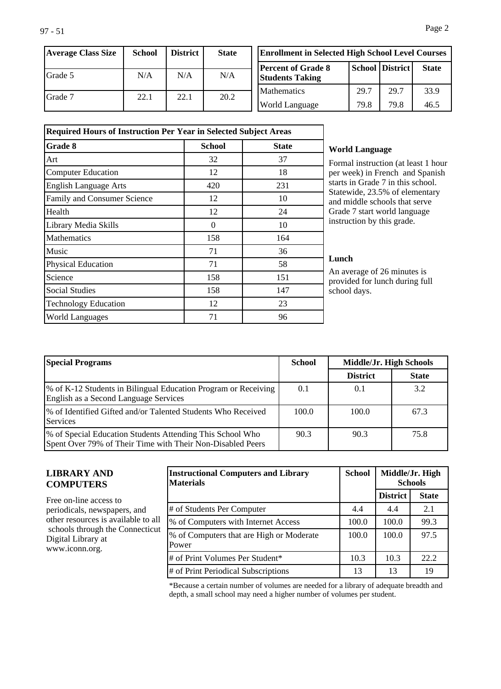| <b>Average Class Size</b> | School | <b>District</b> | <b>State</b> |
|---------------------------|--------|-----------------|--------------|
| Grade 5                   | N/A    | N/A             | N/A          |
| IGrade 7                  | 22.1   | 22.1            | 20.2         |

|                                                     | <b>Enrollment in Selected High School Level Courses</b> |                 |              |
|-----------------------------------------------------|---------------------------------------------------------|-----------------|--------------|
| <b>Percent of Grade 8</b><br><b>Students Taking</b> |                                                         | School District | <b>State</b> |
| Mathematics                                         | 29.7                                                    | 29.7            | 33.9         |
| <b>World Language</b>                               | 79.8                                                    | 79.8            | 46.5         |

| <b>Required Hours of Instruction Per Year in Selected Subject Areas</b> |          |              |  |
|-------------------------------------------------------------------------|----------|--------------|--|
| <b>Grade 8</b>                                                          | School   | <b>State</b> |  |
| Art                                                                     | 32       | 37           |  |
| <b>Computer Education</b>                                               | 12       | 18           |  |
| <b>English Language Arts</b>                                            | 420      | 231          |  |
| Family and Consumer Science                                             | 12       | 10           |  |
| Health                                                                  | 12       | 24           |  |
| Library Media Skills                                                    | $\Omega$ | 10           |  |
| <b>Mathematics</b>                                                      | 158      | 164          |  |
| Music                                                                   | 71       | 36           |  |
| Physical Education                                                      | 71       | 58           |  |
| Science                                                                 | 158      | 151          |  |
| <b>Social Studies</b>                                                   | 158      | 147          |  |
| <b>Technology Education</b>                                             | 12       | 23           |  |
| World Languages                                                         | 71       | 96           |  |

#### **World Language**

Formal instruction (at least 1 hour per week) in French and Spanish starts in Grade 7 in this school. Statewide, 23.5% of elementary and middle schools that serve Grade 7 start world language instruction by this grade.

#### **Lunch**

An average of 26 minutes is provided for lunch during full school days.

| <b>Special Programs</b>                                                                                                 | <b>School</b> | Middle/Jr. High Schools |              |
|-------------------------------------------------------------------------------------------------------------------------|---------------|-------------------------|--------------|
|                                                                                                                         |               | <b>District</b>         | <b>State</b> |
| \% of K-12 Students in Bilingual Education Program or Receiving<br>English as a Second Language Services                | 0.1           | 0.1                     | 3.2          |
| 1% of Identified Gifted and/or Talented Students Who Received<br>Services                                               | 100.0         | 100.0                   | 67.3         |
| % of Special Education Students Attending This School Who<br>Spent Over 79% of Their Time with Their Non-Disabled Peers | 90.3          | 90.3                    | 75.8         |

#### **LIBRARY AND COMPUTERS**

Free on-line access to periodicals, newspapers, and other resources is available to all schools through the Connecticut Digital Library at www.iconn.org.

| <b>Instructional Computers and Library</b><br><b>Materials</b> | <b>School</b> |                 | Middle/Jr. High<br><b>Schools</b> |
|----------------------------------------------------------------|---------------|-----------------|-----------------------------------|
|                                                                |               | <b>District</b> | <b>State</b>                      |
| # of Students Per Computer                                     | 4.4           | 4.4             | 2.1                               |
| % of Computers with Internet Access                            | 100.0         | 100.0           | 99.3                              |
| % of Computers that are High or Moderate<br>Power              | 100.0         | 100.0           | 97.5                              |
| # of Print Volumes Per Student*                                | 10.3          | 10.3            | 22.2                              |
| # of Print Periodical Subscriptions                            | 13            | 13              | 19                                |

\*Because a certain number of volumes are needed for a library of adequate breadth and depth, a small school may need a higher number of volumes per student.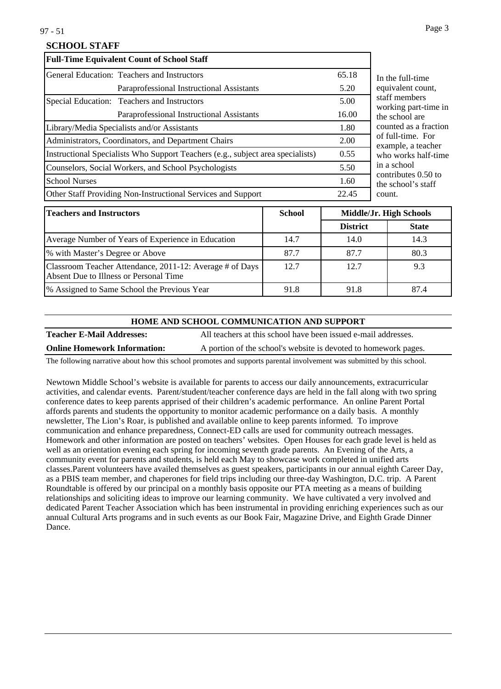#### **SCHOOL STAFF**

|                      | <b>Full-Time Equivalent Count of School Staff</b>                               |       |
|----------------------|---------------------------------------------------------------------------------|-------|
|                      | General Education: Teachers and Instructors                                     | 65.18 |
|                      | Paraprofessional Instructional Assistants                                       | 5.20  |
|                      | Special Education: Teachers and Instructors                                     | 5.00  |
|                      | Paraprofessional Instructional Assistants                                       | 16.00 |
|                      | Library/Media Specialists and/or Assistants                                     | 1.80  |
|                      | Administrators, Coordinators, and Department Chairs                             | 2.00  |
|                      | Instructional Specialists Who Support Teachers (e.g., subject area specialists) | 0.55  |
|                      | Counselors, Social Workers, and School Psychologists                            | 5.50  |
| <b>School Nurses</b> |                                                                                 | 1.60  |
|                      | Other Staff Providing Non-Instructional Services and Support                    | 22.45 |

e full-time alent count. members ing part-time in chool are ted as a fraction ll-time. For nple, a teacher works half-time  $chool$  $i$ butes  $0.50$  to chool's staff count.

| <b>Teachers and Instructors</b>                                                                    | <b>School</b> | Middle/Jr. High Schools |              |
|----------------------------------------------------------------------------------------------------|---------------|-------------------------|--------------|
|                                                                                                    |               | <b>District</b>         | <b>State</b> |
| Average Number of Years of Experience in Education                                                 | 14.7          | 14.0                    | 14.3         |
| % with Master's Degree or Above                                                                    | 87.7          | 87.7                    | 80.3         |
| Classroom Teacher Attendance, 2011-12: Average # of Days<br>Absent Due to Illness or Personal Time | 12.7          | 12.7                    | 9.3          |
| 1% Assigned to Same School the Previous Year                                                       | 91.8          | 91.8                    | 87.4         |

#### **HOME AND SCHOOL COMMUNICATION AND SUPPORT**

**Teacher E-Mail Addresses:** All teachers at this school have been issued e-mail addresses.

**Online Homework Information:** A portion of the school's website is devoted to homework pages.

The following narrative about how this school promotes and supports parental involvement was submitted by this school.

Newtown Middle School's website is available for parents to access our daily announcements, extracurricular activities, and calendar events. Parent/student/teacher conference days are held in the fall along with two spring conference dates to keep parents apprised of their children's academic performance. An online Parent Portal affords parents and students the opportunity to monitor academic performance on a daily basis. A monthly newsletter, The Lion's Roar, is published and available online to keep parents informed. To improve communication and enhance preparedness, Connect-ED calls are used for community outreach messages. Homework and other information are posted on teachers' websites. Open Houses for each grade level is held as well as an orientation evening each spring for incoming seventh grade parents. An Evening of the Arts, a community event for parents and students, is held each May to showcase work completed in unified arts classes.Parent volunteers have availed themselves as guest speakers, participants in our annual eighth Career Day, as a PBIS team member, and chaperones for field trips including our three-day Washington, D.C. trip. A Parent Roundtable is offered by our principal on a monthly basis opposite our PTA meeting as a means of building relationships and soliciting ideas to improve our learning community. We have cultivated a very involved and dedicated Parent Teacher Association which has been instrumental in providing enriching experiences such as our annual Cultural Arts programs and in such events as our Book Fair, Magazine Drive, and Eighth Grade Dinner Dance.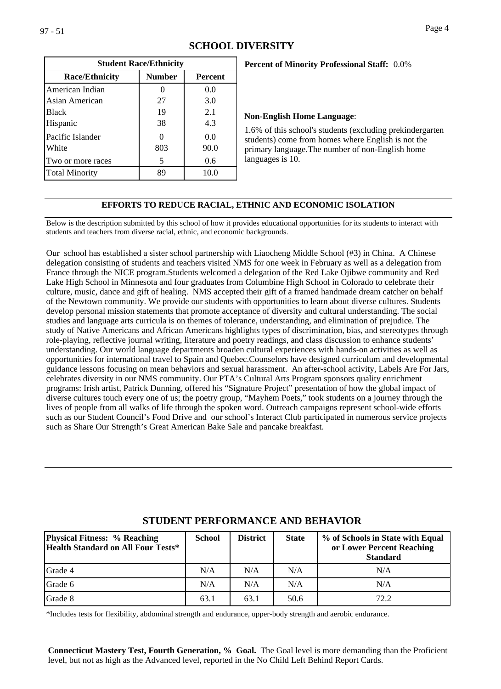|                       | <b>Student Race/Ethnicity</b> |                |
|-----------------------|-------------------------------|----------------|
| <b>Race/Ethnicity</b> | <b>Number</b>                 | <b>Percent</b> |
| American Indian       |                               | 0.0            |
| Asian American        | 27                            | 3.0            |
| Black                 | 19                            | 2.1            |
| Hispanic              | 38                            | 4.3            |
| Pacific Islander      |                               | 0.0            |
| White                 | 803                           | 90.0           |
| Two or more races     | 5                             | 0.6            |
| <b>Total Minority</b> | 89                            | 10.0           |

# **Percent of Minority Professional Staff:** 0.0%

#### **Non-English Home Language**:

1.6% of this school's students (excluding prekindergarten students) come from homes where English is not the primary language.The number of non-English home languages is 10.

#### **EFFORTS TO REDUCE RACIAL, ETHNIC AND ECONOMIC ISOLATION**

Below is the description submitted by this school of how it provides educational opportunities for its students to interact with students and teachers from diverse racial, ethnic, and economic backgrounds.

Our school has established a sister school partnership with Liaocheng Middle School (#3) in China. A Chinese delegation consisting of students and teachers visited NMS for one week in February as well as a delegation from France through the NICE program.Students welcomed a delegation of the Red Lake Ojibwe community and Red Lake High School in Minnesota and four graduates from Columbine High School in Colorado to celebrate their culture, music, dance and gift of healing. NMS accepted their gift of a framed handmade dream catcher on behalf of the Newtown community. We provide our students with opportunities to learn about diverse cultures. Students develop personal mission statements that promote acceptance of diversity and cultural understanding. The social studies and language arts curricula is on themes of tolerance, understanding, and elimination of prejudice. The study of Native Americans and African Americans highlights types of discrimination, bias, and stereotypes through role-playing, reflective journal writing, literature and poetry readings, and class discussion to enhance students' understanding. Our world language departments broaden cultural experiences with hands-on activities as well as opportunities for international travel to Spain and Quebec.Counselors have designed curriculum and developmental guidance lessons focusing on mean behaviors and sexual harassment. An after-school activity, Labels Are For Jars, celebrates diversity in our NMS community. Our PTA's Cultural Arts Program sponsors quality enrichment programs: Irish artist, Patrick Dunning, offered his "Signature Project" presentation of how the global impact of diverse cultures touch every one of us; the poetry group, "Mayhem Poets," took students on a journey through the lives of people from all walks of life through the spoken word. Outreach campaigns represent school-wide efforts such as our Student Council's Food Drive and our school's Interact Club participated in numerous service projects such as Share Our Strength's Great American Bake Sale and pancake breakfast.

| <b>Physical Fitness: % Reaching</b><br>Health Standard on All Four Tests* | <b>School</b> | <b>District</b> | <b>State</b> | % of Schools in State with Equal<br>or Lower Percent Reaching<br><b>Standard</b> |
|---------------------------------------------------------------------------|---------------|-----------------|--------------|----------------------------------------------------------------------------------|
| Grade 4                                                                   | N/A           | N/A             | N/A          | N/A                                                                              |
| Grade 6                                                                   | N/A           | N/A             | N/A          | N/A                                                                              |
| Grade 8                                                                   | 63.1          | 63.1            | 50.6         | 72.2                                                                             |

#### **STUDENT PERFORMANCE AND BEHAVIOR**

\*Includes tests for flexibility, abdominal strength and endurance, upper-body strength and aerobic endurance.

**Connecticut Mastery Test, Fourth Generation, % Goal.** The Goal level is more demanding than the Proficient level, but not as high as the Advanced level, reported in the No Child Left Behind Report Cards.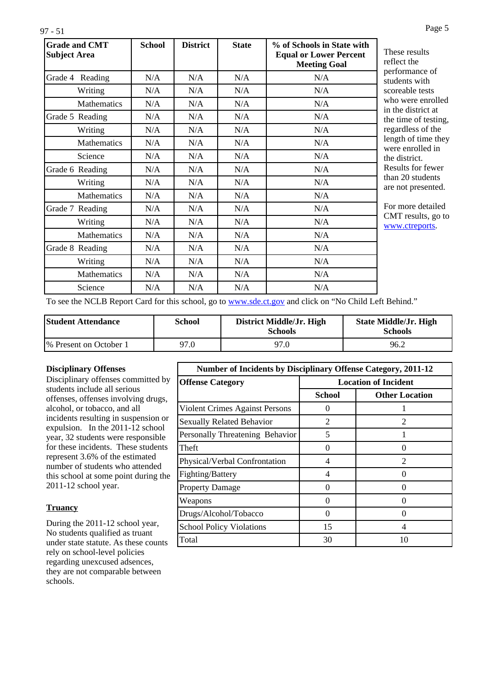| <b>Grade and CMT</b><br><b>Subject Area</b> | <b>School</b> | <b>District</b> | <b>State</b> | % of Schools in State with<br><b>Equal or Lower Percent</b><br><b>Meeting Goal</b> |
|---------------------------------------------|---------------|-----------------|--------------|------------------------------------------------------------------------------------|
| Grade 4 Reading                             | N/A           | N/A             | N/A          | N/A                                                                                |
| Writing                                     | N/A           | N/A             | N/A          | N/A                                                                                |
| <b>Mathematics</b>                          | N/A           | N/A             | N/A          | N/A                                                                                |
| Grade 5 Reading                             | N/A           | N/A             | N/A          | N/A                                                                                |
| Writing                                     | N/A           | N/A             | N/A          | N/A                                                                                |
| <b>Mathematics</b>                          | N/A           | N/A             | N/A          | N/A                                                                                |
| Science                                     | N/A           | N/A             | N/A          | N/A                                                                                |
| Grade 6 Reading                             | N/A           | N/A             | N/A          | N/A                                                                                |
| Writing                                     | N/A           | N/A             | N/A          | N/A                                                                                |
| <b>Mathematics</b>                          | N/A           | N/A             | N/A          | N/A                                                                                |
| Grade 7 Reading                             | N/A           | N/A             | N/A          | N/A                                                                                |
| Writing                                     | N/A           | N/A             | N/A          | N/A                                                                                |
| <b>Mathematics</b>                          | N/A           | N/A             | N/A          | N/A                                                                                |
| Grade 8 Reading                             | N/A           | N/A             | N/A          | N/A                                                                                |
| Writing                                     | N/A           | N/A             | N/A          | N/A                                                                                |
| Mathematics                                 | N/A           | N/A             | N/A          | N/A                                                                                |
| Science                                     | N/A           | N/A             | N/A          | N/A                                                                                |

esults he ance of with le tests re enrolled strict at of testing, ss of the f time they rolled in ict. for fewer students presented.

e detailed sults, go to reports.

To see the NCLB Report Card for this school, go to [www.sde.ct.gov](http://www.sde.ct.gov/) and click on "No Child Left Behind."

| <b>Student Attendance</b> | School | District Middle/Jr. High<br><b>Schools</b> | <b>State Middle/Jr. High</b><br><b>Schools</b> |
|---------------------------|--------|--------------------------------------------|------------------------------------------------|
| % Present on October 1    | 97.0   | 97.0                                       | 96.2                                           |

#### **Disciplinary Offenses**

Disciplinary offenses committed by students include all serious offenses, offenses involving drugs, alcohol, or tobacco, and all incidents resulting in suspension or expulsion. In the 2011-12 school year, 32 students were responsible for these incidents. These students represent 3.6% of the estimated number of students who attended this school at some point during the 2011-12 school year.

#### **Truancy**

During the 2011-12 school year, No students qualified as truant under state statute. As these counts rely on school-level policies regarding unexcused adsences, they are not comparable between schools.

| <b>Number of Incidents by Disciplinary Offense Category, 2011-12</b> |                |                             |  |
|----------------------------------------------------------------------|----------------|-----------------------------|--|
| <b>Offense Category</b>                                              |                | <b>Location of Incident</b> |  |
|                                                                      | <b>School</b>  | <b>Other Location</b>       |  |
| Violent Crimes Against Persons                                       |                |                             |  |
| Sexually Related Behavior                                            | $\mathfrak{D}$ | $\mathfrak{D}$              |  |
| <b>Personally Threatening Behavior</b>                               | 5              |                             |  |
| Theft                                                                | 0              |                             |  |
| Physical/Verbal Confrontation                                        | 4              | $\mathcal{D}_{\mathcal{L}}$ |  |
| Fighting/Battery                                                     | 4              | $\Omega$                    |  |
| <b>Property Damage</b>                                               | 0              | 0                           |  |
| Weapons                                                              | $\Omega$       | ∩                           |  |
| Drugs/Alcohol/Tobacco                                                | 0              | $\mathbf{\Omega}$           |  |
| <b>School Policy Violations</b>                                      | 15             | 4                           |  |
| Total                                                                | 30             | 10                          |  |